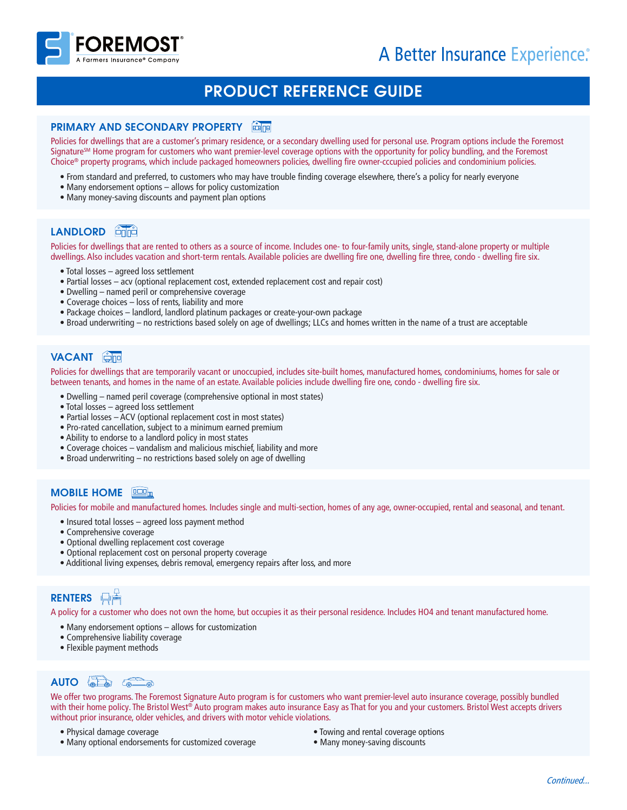

# PRODUCT REFERENCE GUIDE

### **PRIMARY AND SECONDARY PROPERTY** FEBRE

Policies for dwellings that are a customer's primary residence, or a secondary dwelling used for personal use. Program options include the Foremost Signature<sup>SM</sup> Home program for customers who want premier-level coverage options with the opportunity for policy bundling, and the Foremost Choice® property programs, which include packaged homeowners policies, dwelling fire owner-cccupied policies and condominium policies.

- From standard and preferred, to customers who may have trouble finding coverage elsewhere, there's a policy for nearly everyone
- Many endorsement options allows for policy customization
- Many money-saving discounts and payment plan options

# LANDLORD<sup>6</sup>mm<sup>3</sup>

Policies for dwellings that are rented to others as a source of income. Includes one- to four-family units, single, stand-alone property or multiple dwellings. Also includes vacation and short-term rentals. Available policies are dwelling fire one, dwelling fire three, condo - dwelling fire six.

- Total losses agreed loss settlement
- Partial losses acv (optional replacement cost, extended replacement cost and repair cost)
- Dwelling named peril or comprehensive coverage
- Coverage choices loss of rents, liability and more
- Package choices landlord, landlord platinum packages or create-your-own package
- Broad underwriting no restrictions based solely on age of dwellings; LLCs and homes written in the name of a trust are acceptable

### **VACANT**

Policies for dwellings that are temporarily vacant or unoccupied, includes site-built homes, manufactured homes, condominiums, homes for sale or between tenants, and homes in the name of an estate. Available policies include dwelling fire one, condo - dwelling fire six.

- Dwelling named peril coverage (comprehensive optional in most states)
- Total losses agreed loss settlement
- Partial losses ACV (optional replacement cost in most states)
- Pro-rated cancellation, subject to a minimum earned premium
- Ability to endorse to a landlord policy in most states
- Coverage choices vandalism and malicious mischief, liability and more
- Broad underwriting no restrictions based solely on age of dwelling

## **MOBILE HOME**

Policies for mobile and manufactured homes. Includes single and multi-section, homes of any age, owner-occupied, rental and seasonal, and tenant.

- Insured total losses agreed loss payment method
- Comprehensive coverage
- Optional dwelling replacement cost coverage
- Optional replacement cost on personal property coverage
- Additional living expenses, debris removal, emergency repairs after loss, and more

# **RENTERS** 日青

A policy for a customer who does not own the home, but occupies it as their personal residence. Includes HO4 and tenant manufactured home.

- Many endorsement options allows for customization
- Comprehensive liability coverage
- Flexible payment methods

# $AUTO \left( \frac{1}{\alpha - \alpha} \right)$

We offer two programs. The Foremost Signature Auto program is for customers who want premier-level auto insurance coverage, possibly bundled with their home policy. The Bristol West® Auto program makes auto insurance Easy as That for you and your customers. Bristol West accepts drivers without prior insurance, older vehicles, and drivers with motor vehicle violations.

- Physical damage coverage
- Many optional endorsements for customized coverage
- Towing and rental coverage options
- Many money-saving discounts